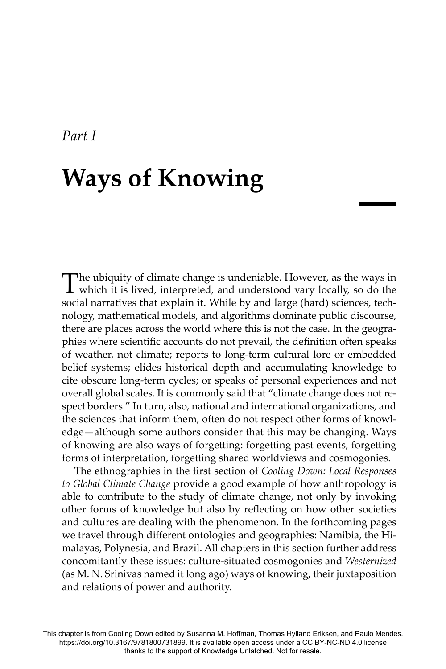## **Ways of Knowing**

The ubiquity of climate change is undeniable. However, as the ways in which it is lived, interpreted, and understood vary locally, so do the social narratives that explain it. While by and large (hard) sciences, technology, mathematical models, and algorithms dominate public discourse, there are places across the world where this is not the case. In the geographies where scientific accounts do not prevail, the definition often speaks of weather, not climate; reports to long-term cultural lore or embedded belief systems; elides historical depth and accumulating knowledge to cite obscure long-term cycles; or speaks of personal experiences and not overall global scales. It is commonly said that "climate change does not respect borders." In turn, also, national and international organizations, and the sciences that inform them, often do not respect other forms of knowledge—although some authors consider that this may be changing. Ways of knowing are also ways of forgetting: forgetting past events, forgetting forms of interpretation, forgetting shared worldviews and cosmogonies.

The ethnographies in the first section of *Cooling Down: Local Responses to Global Climate Change* provide a good example of how anthropology is able to contribute to the study of climate change, not only by invoking other forms of knowledge but also by reflecting on how other societies and cultures are dealing with the phenomenon. In the forthcoming pages we travel through different ontologies and geographies: Namibia, the Himalayas, Polynesia, and Brazil. All chapters in this section further address concomitantly these issues: culture-situated cosmogonies and *Westernized* (as M. N. Srinivas named it long ago) ways of knowing, their juxtaposition and relations of power and authority.

This chapter is from Cooling Down edited by Susanna M. Hoffman, Thomas Hylland Eriksen, and Paulo Mendes. https://doi.org/10.3167/9781800731899. It is available open access under a CC BY-NC-ND 4.0 license thanks to the support of Knowledge Unlatched. Not for resale.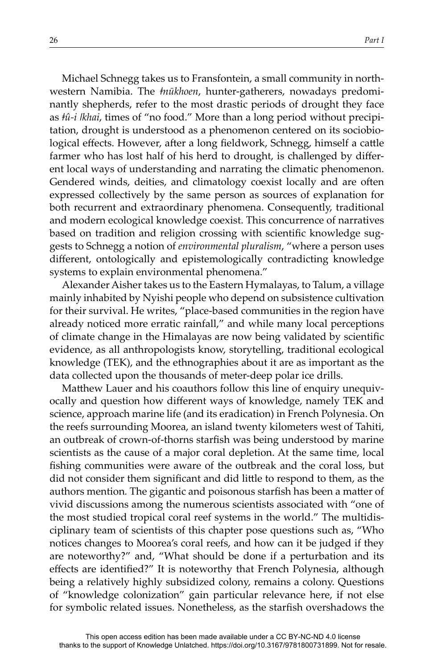Michael Schnegg takes us to Fransfontein, a small community in northwestern Namibia. The *ǂnūkhoen*, hunter-gatherers, nowadays predominantly shepherds, refer to the most drastic periods of drought they face as *ǂû-i ǀkhai*, times of "no food." More than a long period without precipitation, drought is understood as a phenomenon centered on its sociobiological effects. However, after a long fieldwork, Schnegg, himself a cattle farmer who has lost half of his herd to drought, is challenged by different local ways of understanding and narrating the climatic phenomenon. Gendered winds, deities, and climatology coexist locally and are often expressed collectively by the same person as sources of explanation for both recurrent and extraordinary phenomena. Consequently, traditional and modern ecological knowledge coexist. This concurrence of narratives based on tradition and religion crossing with scientific knowledge suggests to Schnegg a notion of *environmental pluralism*, "where a person uses different, ontologically and epistemologically contradicting knowledge systems to explain environmental phenomena."

Alexander Aisher takes us to the Eastern Hymalayas, to Talum, a village mainly inhabited by Nyishi people who depend on subsistence cultivation for their survival. He writes, "place-based communities in the region have already noticed more erratic rainfall," and while many local perceptions of climate change in the Himalayas are now being validated by scientific evidence, as all anthropologists know, storytelling, traditional ecological knowledge (TEK), and the ethnographies about it are as important as the data collected upon the thousands of meter-deep polar ice drills.

Matthew Lauer and his coauthors follow this line of enquiry unequivocally and question how different ways of knowledge, namely TEK and science, approach marine life (and its eradication) in French Polynesia. On the reefs surrounding Moorea, an island twenty kilometers west of Tahiti, an outbreak of crown-of-thorns starfish was being understood by marine scientists as the cause of a major coral depletion. At the same time, local fishing communities were aware of the outbreak and the coral loss, but did not consider them significant and did little to respond to them, as the authors mention. The gigantic and poisonous starfish has been a matter of vivid discussions among the numerous scientists associated with "one of the most studied tropical coral reef systems in the world." The multidisciplinary team of scientists of this chapter pose questions such as, "Who notices changes to Moorea's coral reefs, and how can it be judged if they are noteworthy?" and, "What should be done if a perturbation and its effects are identified?" It is noteworthy that French Polynesia, although being a relatively highly subsidized colony, remains a colony. Questions of "knowledge colonization" gain particular relevance here, if not else for symbolic related issues. Nonetheless, as the starfish overshadows the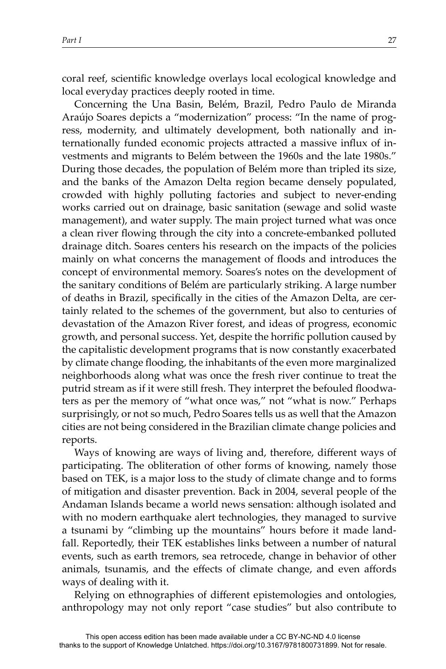coral reef, scientific knowledge overlays local ecological knowledge and local everyday practices deeply rooted in time.

Concerning the Una Basin, Belém, Brazil, Pedro Paulo de Miranda Araújo Soares depicts a "modernization" process: "In the name of progress, modernity, and ultimately development, both nationally and internationally funded economic projects attracted a massive influx of investments and migrants to Belém between the 1960s and the late 1980s." During those decades, the population of Belém more than tripled its size, and the banks of the Amazon Delta region became densely populated, crowded with highly polluting factories and subject to never-ending works carried out on drainage, basic sanitation (sewage and solid waste management), and water supply. The main project turned what was once a clean river flowing through the city into a concrete-embanked polluted drainage ditch. Soares centers his research on the impacts of the policies mainly on what concerns the management of floods and introduces the concept of environmental memory. Soares's notes on the development of the sanitary conditions of Belém are particularly striking. A large number of deaths in Brazil, specifically in the cities of the Amazon Delta, are certainly related to the schemes of the government, but also to centuries of devastation of the Amazon River forest, and ideas of progress, economic growth, and personal success. Yet, despite the horrific pollution caused by the capitalistic development programs that is now constantly exacerbated by climate change flooding, the inhabitants of the even more marginalized neighborhoods along what was once the fresh river continue to treat the putrid stream as if it were still fresh. They interpret the befouled floodwaters as per the memory of "what once was," not "what is now." Perhaps surprisingly, or not so much, Pedro Soares tells us as well that the Amazon cities are not being considered in the Brazilian climate change policies and reports.

Ways of knowing are ways of living and, therefore, different ways of participating. The obliteration of other forms of knowing, namely those based on TEK, is a major loss to the study of climate change and to forms of mitigation and disaster prevention. Back in 2004, several people of the Andaman Islands became a world news sensation: although isolated and with no modern earthquake alert technologies, they managed to survive a tsunami by "climbing up the mountains" hours before it made landfall. Reportedly, their TEK establishes links between a number of natural events, such as earth tremors, sea retrocede, change in behavior of other animals, tsunamis, and the effects of climate change, and even affords ways of dealing with it.

Relying on ethnographies of different epistemologies and ontologies, anthropology may not only report "case studies" but also contribute to